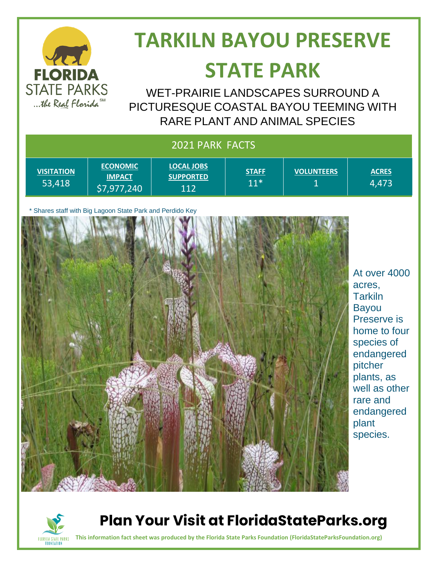

# **TARKILN BAYOU PRESERVE**

## **STATE PARK**

WET-PRAIRIE LANDSCAPES SURROUND A PICTURESQUE COASTAL BAYOU TEEMING WITH RARE PLANT AND ANIMAL SPECIES

| 2021 PARK FACTS             |                                                           |                                              |                       |                                  |                                                                                                                                                                                                              |
|-----------------------------|-----------------------------------------------------------|----------------------------------------------|-----------------------|----------------------------------|--------------------------------------------------------------------------------------------------------------------------------------------------------------------------------------------------------------|
| <b>VISITATION</b><br>53,418 | <b>ECONOMIC</b><br><b>IMPACT</b><br>\$7,977,240           | <b>LOCAL JOBS</b><br><b>SUPPORTED</b><br>112 | <b>STAFF</b><br>$11*$ | <b>VOLUNTEERS</b><br>$\mathbf 1$ | <b>ACRES</b><br>4,473                                                                                                                                                                                        |
|                             | * Shares staff with Big Lagoon State Park and Perdido Key |                                              |                       |                                  | At over 4000<br>acres,<br><b>Tarkiln</b><br><b>Bayou</b><br>Preserve is<br>home to four<br>species of<br>endangered<br>pitcher<br>plants, as<br>well as other<br>rare and<br>endangered<br>plant<br>species. |



#### **Plan Your Visit at FloridaStateParks.org**

**This information fact sheet was produced by the Florida State Parks Foundation (FloridaStateParksFoundation.org)**